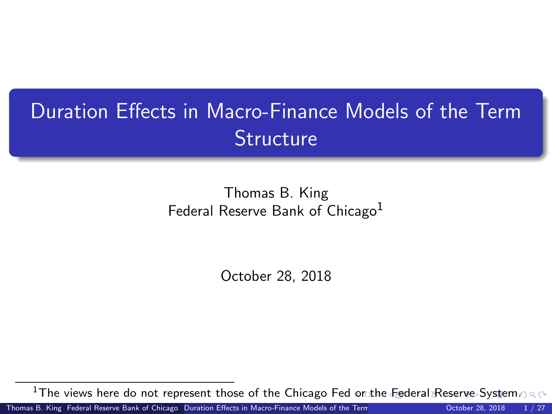# <span id="page-0-0"></span>Duration Effects in Macro-Finance Models of the Term **Structure**

Thomas B. King Federal Reserve Bank of Chicago<sup>1</sup>

October 28, 2018

<sup>1</sup>The views here do not represent those of the Chicago Fed [or](#page-0-0) [the](#page-1-0) [Fed](#page-0-0)[e](#page-1-0)[ral](#page-0-0) [Re](#page-26-0)[serv](#page-0-0)[e S](#page-26-0)[ys](#page-0-0)[tem](#page-26-0).

Thomas B. King Federal Reserve Bank of Chicago [Duration Effects in Macro-Finance Models of the Term Structure](#page-26-0) 28, 2018 1 / 27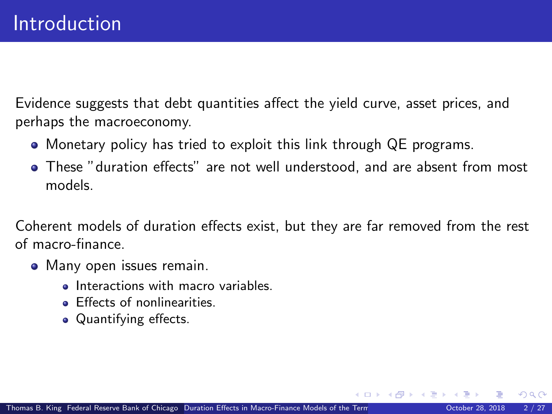<span id="page-1-0"></span>Evidence suggests that debt quantities affect the yield curve, asset prices, and perhaps the macroeconomy.

- Monetary policy has tried to exploit this link through QE programs.
- These "duration effects" are not well understood, and are absent from most models.

Coherent models of duration effects exist, but they are far removed from the rest of macro-finance.

- Many open issues remain.
	- **Interactions with macro variables**
	- **Effects of nonlinearities.**
	- Quantifying effects.

 $\Omega$ 

**K ロ ト K 何 ト K ヨ ト K**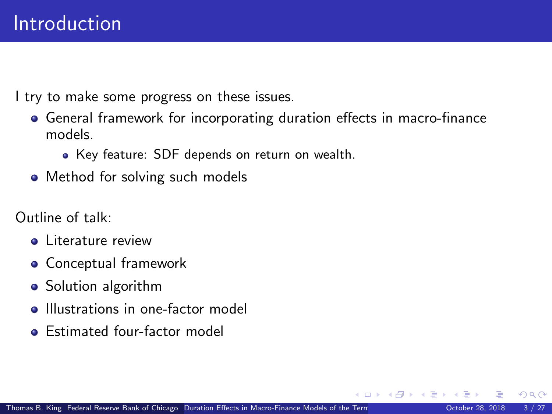I try to make some progress on these issues.

- General framework for incorporating duration effects in macro-finance models.
	- Key feature: SDF depends on return on wealth.
- Method for solving such models

Outline of talk:

- **o** Literature review
- Conceptual framework
- Solution algorithm
- **Illustrations in one-factor model**
- **•** Estimated four-factor model

 $\Omega$ 

4 D F

 $\left\{ \left\{ \bigcap_{i=1}^{n} x_i \right\} \cup \left\{ \bigcap_{i=1}^{n} x_i \right\} \right\}$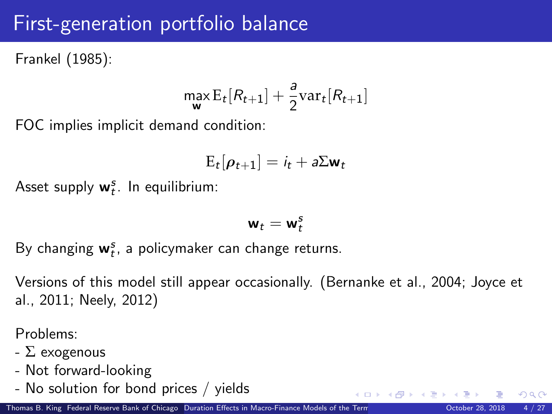## First-generation portfolio balance

Frankel (1985):

$$
\max_{\mathbf{w}} \mathrm{E}_t[R_{t+1}] + \frac{a}{2} \mathrm{var}_t[R_{t+1}]
$$

FOC implies implicit demand condition:

$$
E_t[\rho_{t+1}] = i_t + a\Sigma \mathbf{w}_t
$$

Asset supply  $w_t^s$ . In equilibrium:

$$
\mathbf{w}_t = \mathbf{w}_t^s
$$

By changing  $w_t^s$ , a policymaker can change returns.

Versions of this model still appear occasionally. (Bernanke et al., 2004; Joyce et al., 2011; Neely, 2012)

Problems:

- $\Sigma$  exogenous
- Not forward-looking
- No solution for bond prices / yields

 $\Omega$ 

メロメ メ御 メメ きょうぼき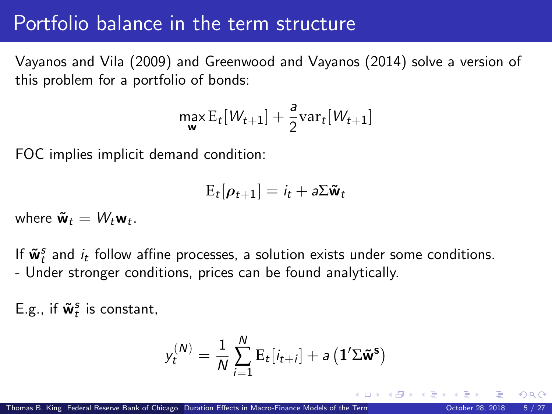#### Portfolio balance in the term structure

Vayanos and Vila (2009) and Greenwood and Vayanos (2014) solve a version of this problem for a portfolio of bonds:

$$
\max_{\mathbf{w}} \mathrm{E}_t[W_{t+1}] + \frac{a}{2} \mathrm{var}_t[W_{t+1}]
$$

FOC implies implicit demand condition:

$$
E_t[\rho_{t+1}] = i_t + a\Sigma \tilde{\mathbf{w}}_t
$$

where  $\tilde{\mathbf{w}}_t = W_t \mathbf{w}_t$ .

If  $\tilde{\mathbf{w}}_t^s$  and  $i_t$  follow affine processes, a solution exists under some conditions. - Under stronger conditions, prices can be found analytically.

E.g., if  $\tilde{\mathbf{w}}_t^s$  is constant,

$$
y_t^{(N)} = \frac{1}{N} \sum_{i=1}^N \mathrm{E}_t[i_{t+i}] + a\left(\mathbf{1}'\boldsymbol{\Sigma}\tilde{\mathbf{w}}^{\mathbf{s}}\right)
$$

**≮ロト ⊀ 何 ト ⊀ ヨ ト ⊀**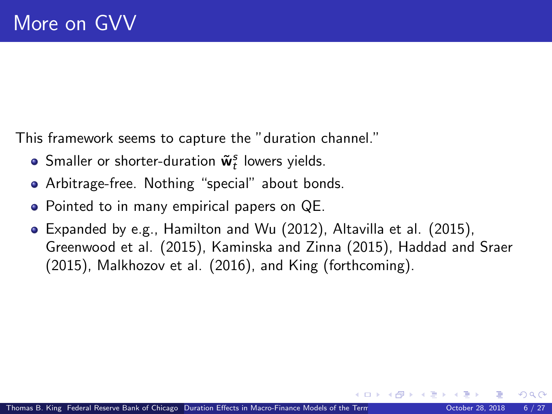This framework seems to capture the "duration channel."

- Smaller or shorter-duration  $\tilde{\mathbf{w}}_t^s$  lowers yields.
- Arbitrage-free. Nothing "special" about bonds.
- Pointed to in many empirical papers on QE.
- Expanded by e.g., Hamilton and Wu (2012), Altavilla et al. (2015), Greenwood et al. (2015), Kaminska and Zinna (2015), Haddad and Sraer (2015), Malkhozov et al. (2016), and King (forthcoming).

( ロ ) - ( 何 ) - ( ヨ ) -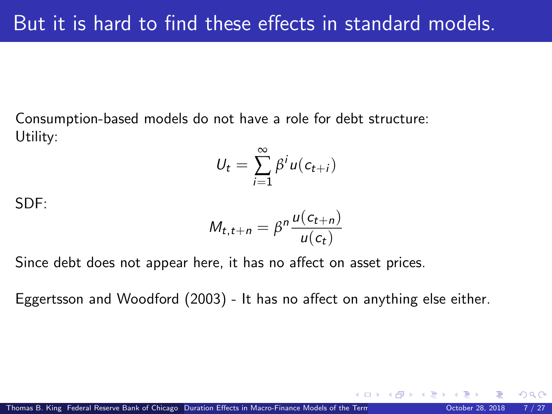Consumption-based models do not have a role for debt structure: Utility:

$$
U_t = \sum_{i=1}^{\infty} \beta^i u(c_{t+i})
$$

SDF:

$$
M_{t,t+n} = \beta^n \frac{u(c_{t+n})}{u(c_t)}
$$

Since debt does not appear here, it has no affect on asset prices.

Eggertsson and Woodford (2003) - It has no affect on anything else either.

 $\Omega$ 

 $\left\{ \begin{array}{ccc} 1 & 0 & 0 \\ 0 & 1 & 0 \end{array} \right.$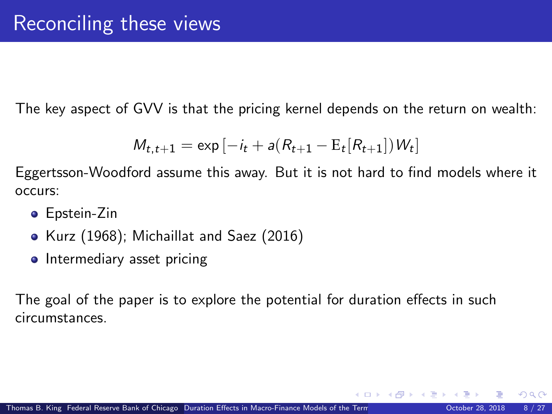The key aspect of GVV is that the pricing kernel depends on the return on wealth:

$$
M_{t,t+1} = \exp[-i_t + a(R_{t+1} - E_t[R_{t+1}])W_t]
$$

Eggertsson-Woodford assume this away. But it is not hard to find models where it occurs:

- **•** Epstein-Zin
- Kurz (1968); Michaillat and Saez (2016)
- Intermediary asset pricing

The goal of the paper is to explore the potential for duration effects in such circumstances.

 $\Omega$ 

メロメ メタメ メミメス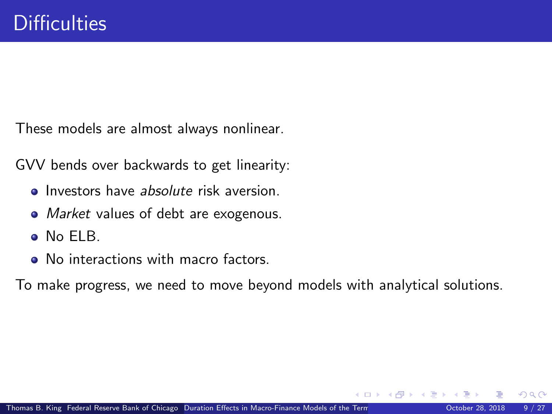These models are almost always nonlinear.

GVV bends over backwards to get linearity:

- **Investors have absolute risk aversion.**
- Market values of debt are exogenous.
- No ELB.
- No interactions with macro factors.

To make progress, we need to move beyond models with analytical solutions.

 $\Omega$ 

(□ ) ( n ) ( 三 )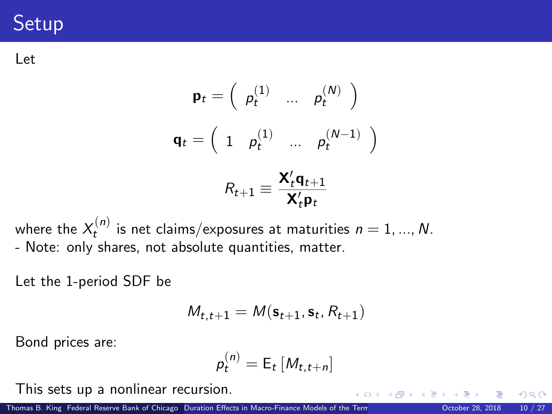# **Setup**

Let

$$
\mathbf{p}_t = \begin{pmatrix} p_t^{(1)} & \dots & p_t^{(N)} \end{pmatrix}
$$

$$
\mathbf{q}_t = \begin{pmatrix} 1 & p_t^{(1)} & \dots & p_t^{(N-1)} \end{pmatrix}
$$

$$
R_{t+1} \equiv \frac{\mathbf{X}_t^{\prime} \mathbf{q}_{t+1}}{\mathbf{X}_t^{\prime} \mathbf{p}_t}
$$

where the  $X_t^{(n)}$  is net claims/exposures at maturities  $n=1,...,N.$ - Note: only shares, not absolute quantities, matter.

Let the 1-period SDF be

$$
\mathit{M}_{t,t+1} = \mathit{M}(\mathbf{s}_{t+1}, \mathbf{s}_t, \mathit{R}_{t+1})
$$

Bond prices are:

$$
p_t^{(n)} = \mathsf{E}_t \left[ M_{t,t+n} \right]
$$

This sets up a nonlinear recursion.

Thomas B. King Federal Reserve Bank of Chicago [Duration Effects in Macro-Finance Models of the Term Structure](#page-0-0) 28, 2018 10 / 27

 $\Omega$ 

 $\left\{ \begin{array}{ccc} 1 & 0 & 0 \\ 0 & 1 & 0 \end{array} \right\}$  ,  $\left\{ \begin{array}{ccc} 0 & 0 & 0 \\ 0 & 0 & 0 \end{array} \right\}$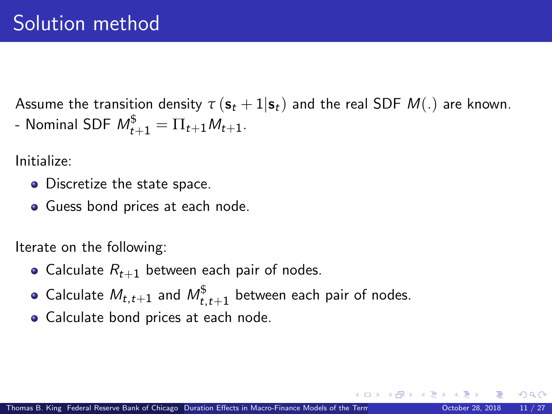Assume the transition density  $\tau(\mathbf{s}_t + 1|\mathbf{s}_t)$  and the real SDF  $M(.)$  are known. - Nominal SDF  $M^\$_{t+1} = \Pi_{t+1} M_{t+1}.$ 

Initialize:

- Discretize the state space.
- Guess bond prices at each node.

Iterate on the following:

- Calculate  $R_{t+1}$  between each pair of nodes.
- Calculate  $M_{t,t+1}$  and  $M_{t,t+1}^{\$}$  between each pair of nodes.
- Calculate bond prices at each node.

**K ロ ▶ - K 何 ▶ - K ヨ ▶ - K**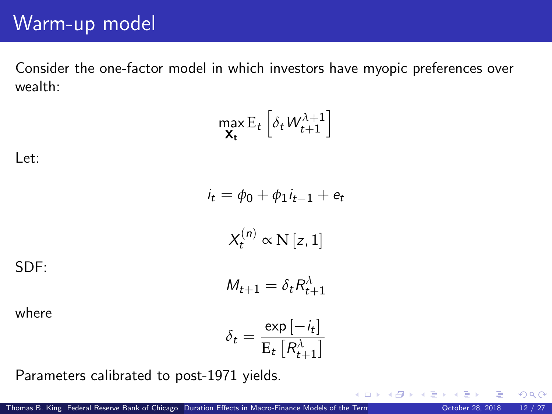#### Warm-up model

Consider the one-factor model in which investors have myopic preferences over wealth:

$$
\max_{\mathbf{X_t}} \mathbf{E}_t \left[ \delta_t W_{t+1}^{\lambda+1} \right]
$$

Let:

$$
i_t = \phi_0 + \phi_1 i_{t-1} + e_t
$$

$$
X_t^{(n)} \propto N [z, 1]
$$

$$
M_{t+1} = \delta_t R_{t+1}^{\lambda}
$$

SDF:

where

$$
\delta_t = \frac{\exp\left[-i_t\right]}{\mathrm{E}_t\left[R_{t+1}^{\lambda}\right]}
$$

Parameters calibrated to post-1971 yields.

 $299$ 

メロメ メタメ メミメス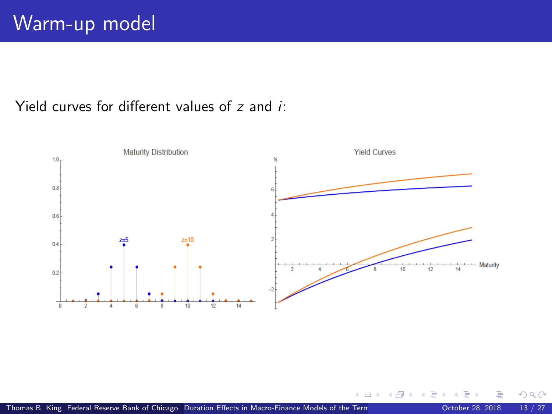#### Yield curves for different values of z and i:



つへへ

**K ロ ▶ K 御 ▶ K 舌**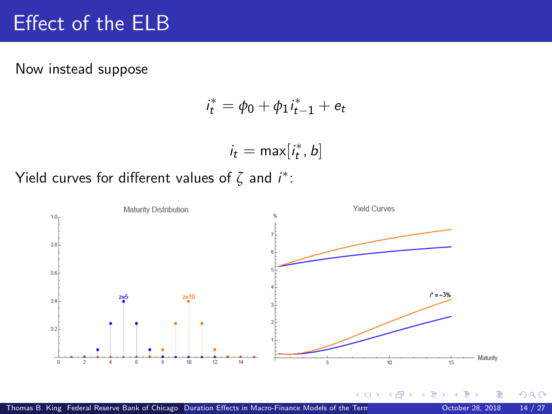## Effect of the ELB

Now instead suppose

$$
i_t^* = \phi_0 + \phi_1 i_{t-1}^* + e_t
$$

$$
i_t = \max[i_t^*, b]
$$

Yield curves for different values of  $\zeta$  and  $i^*$ :

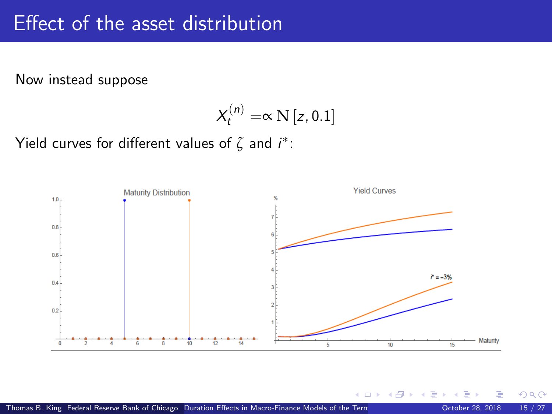#### Effect of the asset distribution

Now instead suppose

$$
X_t^{(n)} = \propto N[z, 0.1]
$$

Yield curves for different values of  $\zeta$  and  $i^*$ :



**K ロ ▶ K 御 ▶ K 舌** 

 $QQ$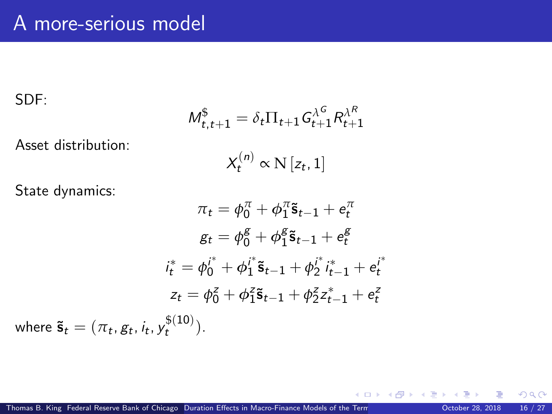SDF:

where

$$
M_{t,t+1}^{\$} = \delta_t \Pi_{t+1} G_{t+1}^{\lambda^G} R_{t+1}^{\lambda^R}
$$

Asset distribution:

$$
X_t^{(n)} \propto \mathcal{N}\left[z_t, 1\right]
$$

State dynamics:

$$
\pi_t = \phi_0^{\pi} + \phi_1^{\pi} \tilde{\mathbf{s}}_{t-1} + e_t^{\pi}
$$

$$
g_t = \phi_0^{\mathcal{g}} + \phi_1^{\mathcal{g}} \tilde{\mathbf{s}}_{t-1} + e_t^{\mathcal{g}}
$$

$$
i_t^* = \phi_0^{i^*} + \phi_1^{i^*} \tilde{\mathbf{s}}_{t-1} + \phi_2^{i^*} i_{t-1}^* + e_t^{i^*}
$$

$$
z_t = \phi_0^z + \phi_1^z \tilde{\mathbf{s}}_{t-1} + \phi_2^z z_{t-1}^* + e_t^z
$$

$$
\tilde{\mathbf{s}}_t = (\pi_t, g_t, i_t, y_t^{\mathcal{g}(10)}).
$$

 $299$ 

メロメ メ御 メメ きょうぼき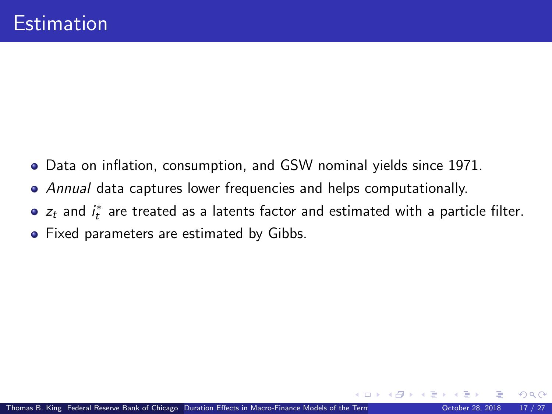- Data on inflation, consumption, and GSW nominal yields since 1971.
- Annual data captures lower frequencies and helps computationally.
- $z_t$  and  $i_t^*$  are treated as a latents factor and estimated with a particle filter.
- **•** Fixed parameters are estimated by Gibbs.

 $\Omega$ 

(□ ) ( n ) ( 三 )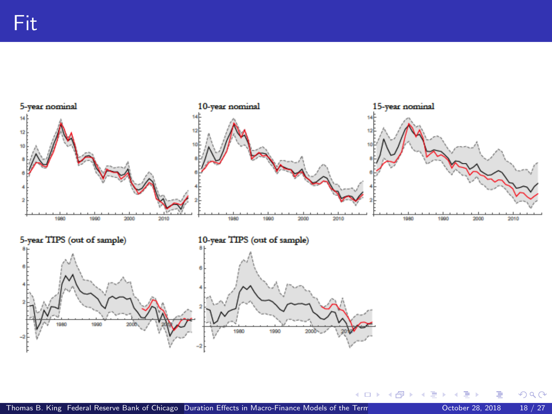

 $299$ 

メロメ メ御 メメ きょうぼき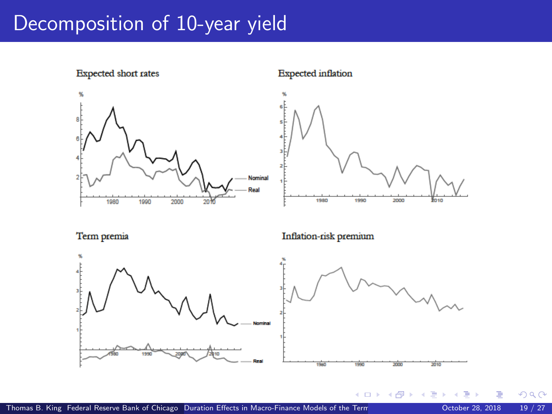#### Decomposition of 10-year yield



**Expected** inflation



**K ロ ▶ イ 伊 ▶ イ ヨ** 

Term premia





 $299$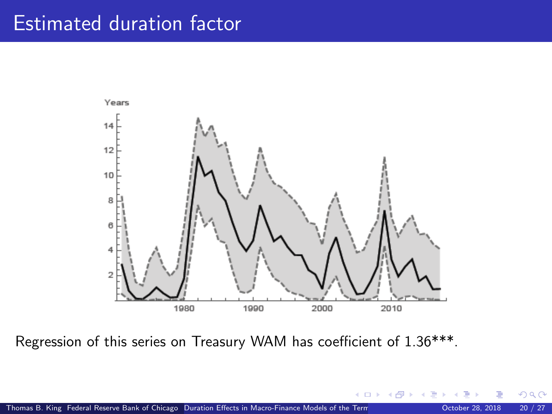#### Estimated duration factor



Regression of this series on Treasury WAM has coefficient of 1.36\*\*\*.

**K ロ ▶ | K 御 ▶ | K 臣 ▶** 

 $\Omega$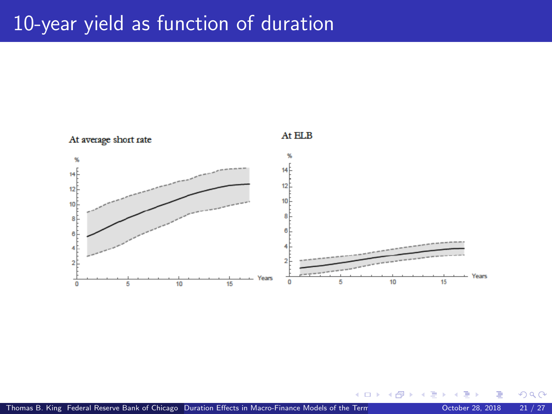## 10-year yield as function of duration



**K ロ ▶ K 御 ▶ K 舌** 

 $299$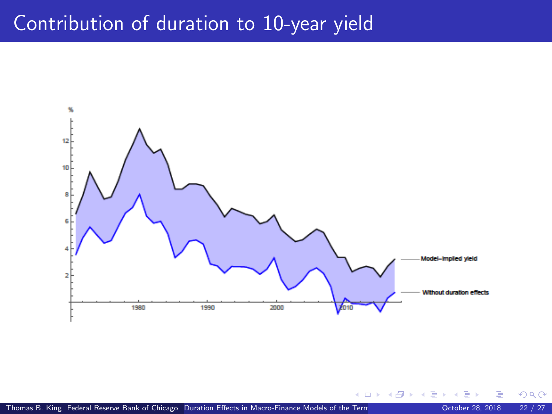#### Contribution of duration to 10-year yield



 $299$ 

**K ロ ト K 御 ト K 走 ト**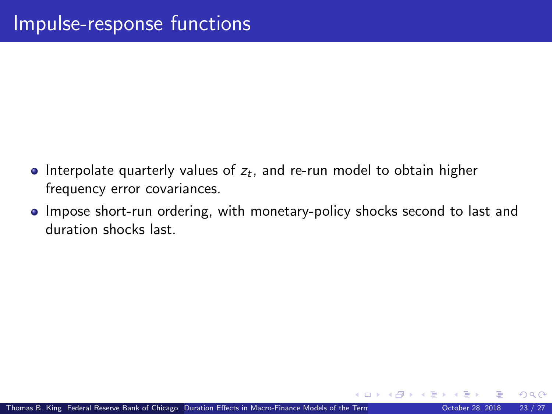- Interpolate quarterly values of  $z_t$ , and re-run model to obtain higher frequency error covariances.
- Impose short-run ordering, with monetary-policy shocks second to last and duration shocks last.

 $\Omega$ 

(□ ) ( n ) ( 三 )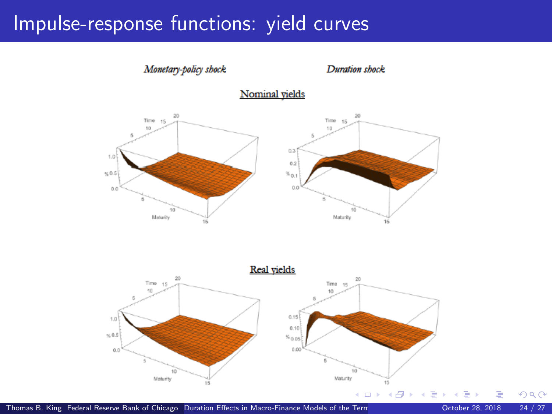#### Impulse-response functions: yield curves



Thomas B. King Federal Reserve Bank of Chicago [Duration Effects in Macro-Finance Models of the Term Structure](#page-0-0) Cortober 28, 2018 24 / 27

 $290$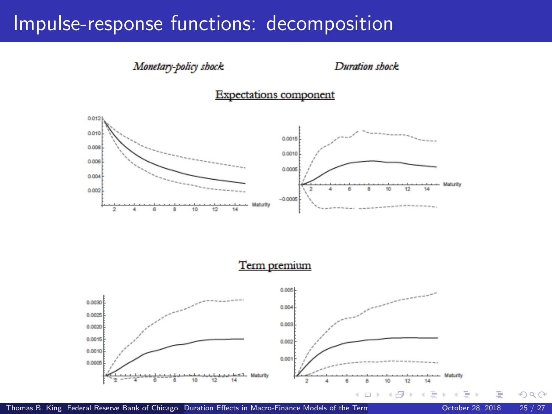#### Impulse-response functions: decomposition

#### Monetary-policy shock

#### Duration shock





Term premium

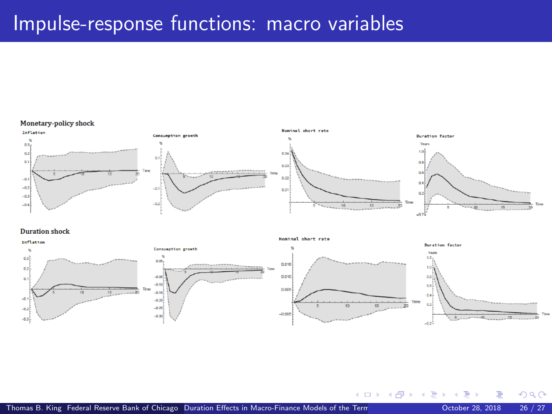#### Impulse-response functions: macro variables

#### Monetary-policy shock



#### **Duration shock**



**K ロ ▶ K 御 ▶ K 君** 

 $QQ$